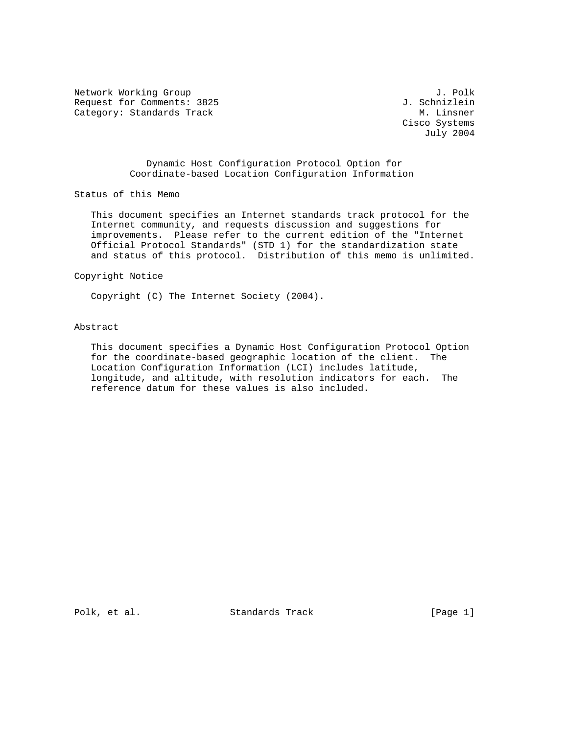Network Working Group J. Polk<br>Request for Comments: 3825 J. Schnizlein Request for Comments: 3825 J. Schnizlein<br>Category: Standards Track M. Linsner Category: Standards Track

 Cisco Systems July 2004

## Dynamic Host Configuration Protocol Option for Coordinate-based Location Configuration Information

Status of this Memo

 This document specifies an Internet standards track protocol for the Internet community, and requests discussion and suggestions for improvements. Please refer to the current edition of the "Internet Official Protocol Standards" (STD 1) for the standardization state and status of this protocol. Distribution of this memo is unlimited.

# Copyright Notice

Copyright (C) The Internet Society (2004).

### Abstract

 This document specifies a Dynamic Host Configuration Protocol Option for the coordinate-based geographic location of the client. The Location Configuration Information (LCI) includes latitude, longitude, and altitude, with resolution indicators for each. The reference datum for these values is also included.

Polk, et al. Standards Track [Page 1]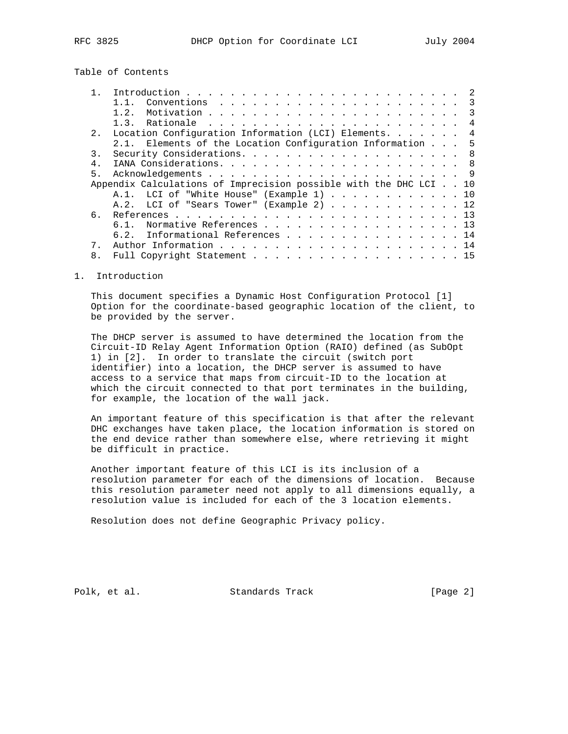# Table of Contents

|                | 1.2.                                                              |
|----------------|-------------------------------------------------------------------|
|                | $\overline{4}$                                                    |
| 2.             | Location Configuration Information (LCI) Elements.<br>4           |
|                | 2.1. Elements of the Location Configuration Information 5         |
| $\mathcal{E}$  |                                                                   |
|                |                                                                   |
| 5.             |                                                                   |
|                | Appendix Calculations of Imprecision possible with the DHC LCI 10 |
|                | A.1. LCI of "White House" (Example 1) 10                          |
|                | A.2. LCI of "Sears Tower" (Example 2) 12                          |
| რ —            |                                                                   |
|                | Normative References 13<br>6.1.                                   |
|                | 6.2. Informational References 14                                  |
| 7              |                                                                   |
| 8 <sub>1</sub> | Full Copyright Statement 15                                       |

#### 1. Introduction

 This document specifies a Dynamic Host Configuration Protocol [1] Option for the coordinate-based geographic location of the client, to be provided by the server.

 The DHCP server is assumed to have determined the location from the Circuit-ID Relay Agent Information Option (RAIO) defined (as SubOpt 1) in [2]. In order to translate the circuit (switch port identifier) into a location, the DHCP server is assumed to have access to a service that maps from circuit-ID to the location at which the circuit connected to that port terminates in the building, for example, the location of the wall jack.

 An important feature of this specification is that after the relevant DHC exchanges have taken place, the location information is stored on the end device rather than somewhere else, where retrieving it might be difficult in practice.

 Another important feature of this LCI is its inclusion of a resolution parameter for each of the dimensions of location. Because this resolution parameter need not apply to all dimensions equally, a resolution value is included for each of the 3 location elements.

Resolution does not define Geographic Privacy policy.

Polk, et al. Standards Track [Page 2]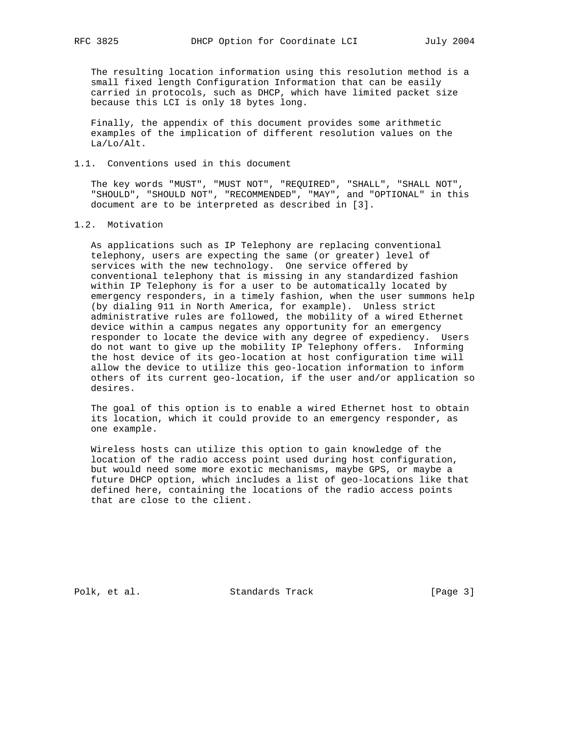The resulting location information using this resolution method is a small fixed length Configuration Information that can be easily carried in protocols, such as DHCP, which have limited packet size because this LCI is only 18 bytes long.

 Finally, the appendix of this document provides some arithmetic examples of the implication of different resolution values on the La/Lo/Alt.

### 1.1. Conventions used in this document

 The key words "MUST", "MUST NOT", "REQUIRED", "SHALL", "SHALL NOT", "SHOULD", "SHOULD NOT", "RECOMMENDED", "MAY", and "OPTIONAL" in this document are to be interpreted as described in [3].

### 1.2. Motivation

 As applications such as IP Telephony are replacing conventional telephony, users are expecting the same (or greater) level of services with the new technology. One service offered by conventional telephony that is missing in any standardized fashion within IP Telephony is for a user to be automatically located by emergency responders, in a timely fashion, when the user summons help (by dialing 911 in North America, for example). Unless strict administrative rules are followed, the mobility of a wired Ethernet device within a campus negates any opportunity for an emergency responder to locate the device with any degree of expediency. Users do not want to give up the mobility IP Telephony offers. Informing the host device of its geo-location at host configuration time will allow the device to utilize this geo-location information to inform others of its current geo-location, if the user and/or application so desires.

 The goal of this option is to enable a wired Ethernet host to obtain its location, which it could provide to an emergency responder, as one example.

 Wireless hosts can utilize this option to gain knowledge of the location of the radio access point used during host configuration, but would need some more exotic mechanisms, maybe GPS, or maybe a future DHCP option, which includes a list of geo-locations like that defined here, containing the locations of the radio access points that are close to the client.

Polk, et al. Standards Track [Page 3]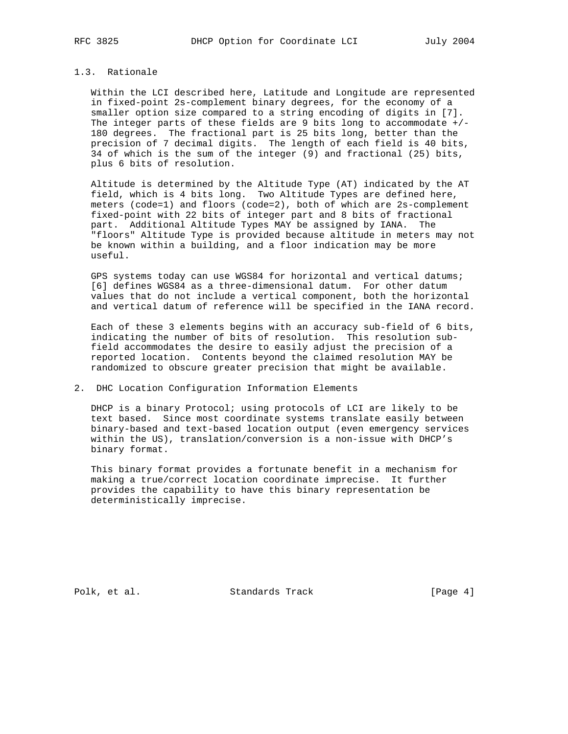## 1.3. Rationale

 Within the LCI described here, Latitude and Longitude are represented in fixed-point 2s-complement binary degrees, for the economy of a smaller option size compared to a string encoding of digits in [7]. The integer parts of these fields are 9 bits long to accommodate  $+/-$  180 degrees. The fractional part is 25 bits long, better than the precision of 7 decimal digits. The length of each field is 40 bits, 34 of which is the sum of the integer (9) and fractional (25) bits, plus 6 bits of resolution.

 Altitude is determined by the Altitude Type (AT) indicated by the AT field, which is 4 bits long. Two Altitude Types are defined here, meters (code=1) and floors (code=2), both of which are 2s-complement fixed-point with 22 bits of integer part and 8 bits of fractional part. Additional Altitude Types MAY be assigned by IANA. The "floors" Altitude Type is provided because altitude in meters may not be known within a building, and a floor indication may be more useful.

 GPS systems today can use WGS84 for horizontal and vertical datums; [6] defines WGS84 as a three-dimensional datum. For other datum values that do not include a vertical component, both the horizontal and vertical datum of reference will be specified in the IANA record.

 Each of these 3 elements begins with an accuracy sub-field of 6 bits, indicating the number of bits of resolution. This resolution sub field accommodates the desire to easily adjust the precision of a reported location. Contents beyond the claimed resolution MAY be randomized to obscure greater precision that might be available.

#### 2. DHC Location Configuration Information Elements

 DHCP is a binary Protocol; using protocols of LCI are likely to be text based. Since most coordinate systems translate easily between binary-based and text-based location output (even emergency services within the US), translation/conversion is a non-issue with DHCP's binary format.

 This binary format provides a fortunate benefit in a mechanism for making a true/correct location coordinate imprecise. It further provides the capability to have this binary representation be deterministically imprecise.

Polk, et al. Standards Track [Page 4]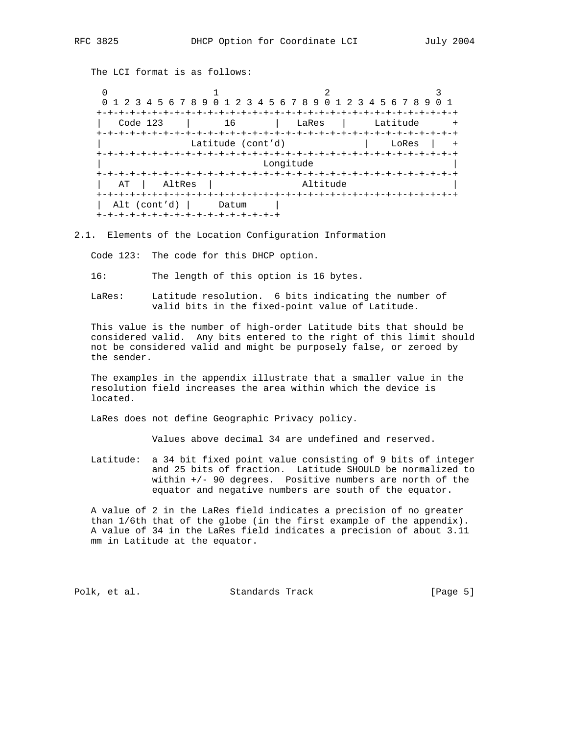The LCI format is as follows:

 $0$  and  $1$  and  $2$  3 0 1 2 3 4 5 6 7 8 9 0 1 2 3 4 5 6 7 8 9 0 1 2 3 4 5 6 7 8 9 0 1 +-+-+-+-+-+-+-+-+-+-+-+-+-+-+-+-+-+-+-+-+-+-+-+-+-+-+-+-+-+-+-+-+ | Code 123 | 16 | LaRes | Latitude + +-+-+-+-+-+-+-+-+-+-+-+-+-+-+-+-+-+-+-+-+-+-+-+-+-+-+-+-+-+-+-+-+ Latitude (cont'd)  $\qquad$  | LoRes | + +-+-+-+-+-+-+-+-+-+-+-+-+-+-+-+-+-+-+-+-+-+-+-+-+-+-+-+-+-+-+-+-+ Longitude +-+-+-+-+-+-+-+-+-+-+-+-+-+-+-+-+-+-+-+-+-+-+-+-+-+-+-+-+-+-+-+-+ AT | AltRes | Altitude +-+-+-+-+-+-+-+-+-+-+-+-+-+-+-+-+-+-+-+-+-+-+-+-+-+-+-+-+-+-+-+-+ Alt (cont'd) | Datum | +-+-+-+-+-+-+-+-+-+-+-+-+-+-+-+-+

#### 2.1. Elements of the Location Configuration Information

Code 123: The code for this DHCP option.

- 16: The length of this option is 16 bytes.
- LaRes: Latitude resolution. 6 bits indicating the number of valid bits in the fixed-point value of Latitude.

 This value is the number of high-order Latitude bits that should be considered valid. Any bits entered to the right of this limit should not be considered valid and might be purposely false, or zeroed by the sender.

 The examples in the appendix illustrate that a smaller value in the resolution field increases the area within which the device is located.

LaRes does not define Geographic Privacy policy.

Values above decimal 34 are undefined and reserved.

 Latitude: a 34 bit fixed point value consisting of 9 bits of integer and 25 bits of fraction. Latitude SHOULD be normalized to within +/- 90 degrees. Positive numbers are north of the equator and negative numbers are south of the equator.

 A value of 2 in the LaRes field indicates a precision of no greater than 1/6th that of the globe (in the first example of the appendix). A value of 34 in the LaRes field indicates a precision of about 3.11 mm in Latitude at the equator.

Polk, et al. Standards Track [Page 5]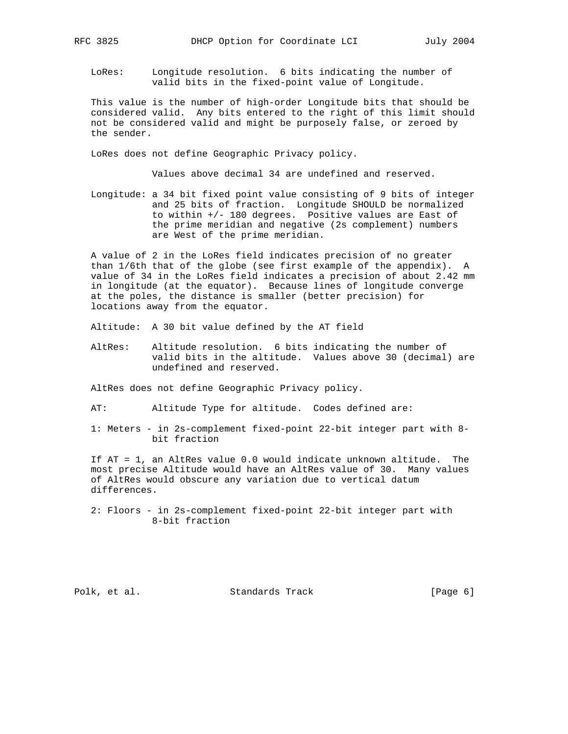LoRes: Longitude resolution. 6 bits indicating the number of valid bits in the fixed-point value of Longitude.

 This value is the number of high-order Longitude bits that should be considered valid. Any bits entered to the right of this limit should not be considered valid and might be purposely false, or zeroed by the sender.

LoRes does not define Geographic Privacy policy.

Values above decimal 34 are undefined and reserved.

 Longitude: a 34 bit fixed point value consisting of 9 bits of integer and 25 bits of fraction. Longitude SHOULD be normalized to within +/- 180 degrees. Positive values are East of the prime meridian and negative (2s complement) numbers are West of the prime meridian.

 A value of 2 in the LoRes field indicates precision of no greater than 1/6th that of the globe (see first example of the appendix). A value of 34 in the LoRes field indicates a precision of about 2.42 mm in longitude (at the equator). Because lines of longitude converge at the poles, the distance is smaller (better precision) for locations away from the equator.

Altitude: A 30 bit value defined by the AT field

 AltRes: Altitude resolution. 6 bits indicating the number of valid bits in the altitude. Values above 30 (decimal) are undefined and reserved.

AltRes does not define Geographic Privacy policy.

AT: Altitude Type for altitude. Codes defined are:

 1: Meters - in 2s-complement fixed-point 22-bit integer part with 8 bit fraction

 If AT = 1, an AltRes value 0.0 would indicate unknown altitude. The most precise Altitude would have an AltRes value of 30. Many values of AltRes would obscure any variation due to vertical datum differences.

 2: Floors - in 2s-complement fixed-point 22-bit integer part with 8-bit fraction

Polk, et al. Standards Track [Page 6]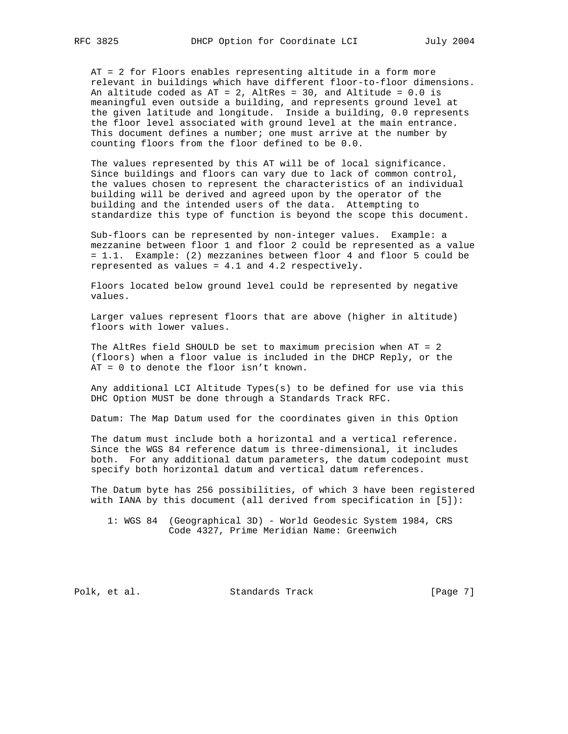AT = 2 for Floors enables representing altitude in a form more relevant in buildings which have different floor-to-floor dimensions. An altitude coded as  $AT = 2$ , AltRes = 30, and Altitude = 0.0 is meaningful even outside a building, and represents ground level at the given latitude and longitude. Inside a building, 0.0 represents the floor level associated with ground level at the main entrance. This document defines a number; one must arrive at the number by counting floors from the floor defined to be 0.0.

 The values represented by this AT will be of local significance. Since buildings and floors can vary due to lack of common control, the values chosen to represent the characteristics of an individual building will be derived and agreed upon by the operator of the building and the intended users of the data. Attempting to standardize this type of function is beyond the scope this document.

 Sub-floors can be represented by non-integer values. Example: a mezzanine between floor 1 and floor 2 could be represented as a value = 1.1. Example: (2) mezzanines between floor 4 and floor 5 could be represented as values = 4.1 and 4.2 respectively.

 Floors located below ground level could be represented by negative values.

 Larger values represent floors that are above (higher in altitude) floors with lower values.

 The AltRes field SHOULD be set to maximum precision when AT = 2 (floors) when a floor value is included in the DHCP Reply, or the AT = 0 to denote the floor isn't known.

 Any additional LCI Altitude Types(s) to be defined for use via this DHC Option MUST be done through a Standards Track RFC.

Datum: The Map Datum used for the coordinates given in this Option

 The datum must include both a horizontal and a vertical reference. Since the WGS 84 reference datum is three-dimensional, it includes both. For any additional datum parameters, the datum codepoint must specify both horizontal datum and vertical datum references.

 The Datum byte has 256 possibilities, of which 3 have been registered with IANA by this document (all derived from specification in [5]):

 1: WGS 84 (Geographical 3D) - World Geodesic System 1984, CRS Code 4327, Prime Meridian Name: Greenwich

Polk, et al. Standards Track [Page 7]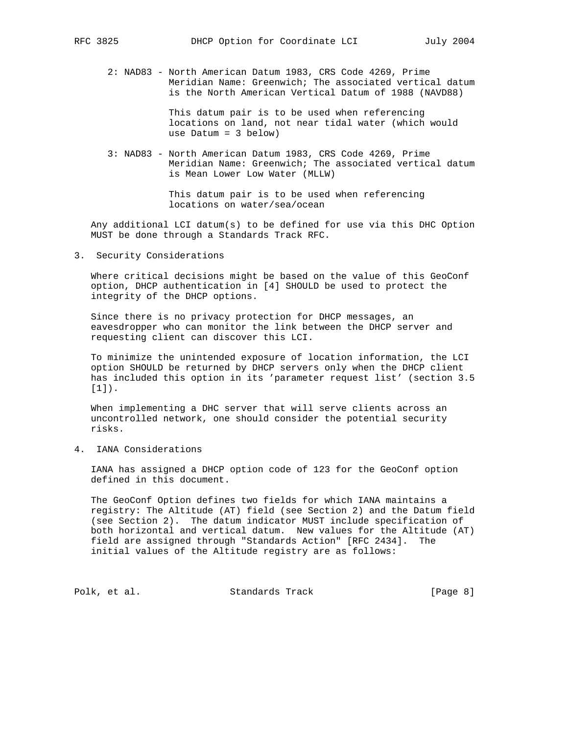2: NAD83 - North American Datum 1983, CRS Code 4269, Prime Meridian Name: Greenwich; The associated vertical datum is the North American Vertical Datum of 1988 (NAVD88)

> This datum pair is to be used when referencing locations on land, not near tidal water (which would use Datum = 3 below)

 3: NAD83 - North American Datum 1983, CRS Code 4269, Prime Meridian Name: Greenwich; The associated vertical datum is Mean Lower Low Water (MLLW)

> This datum pair is to be used when referencing locations on water/sea/ocean

 Any additional LCI datum(s) to be defined for use via this DHC Option MUST be done through a Standards Track RFC.

3. Security Considerations

 Where critical decisions might be based on the value of this GeoConf option, DHCP authentication in [4] SHOULD be used to protect the integrity of the DHCP options.

 Since there is no privacy protection for DHCP messages, an eavesdropper who can monitor the link between the DHCP server and requesting client can discover this LCI.

 To minimize the unintended exposure of location information, the LCI option SHOULD be returned by DHCP servers only when the DHCP client has included this option in its 'parameter request list' (section 3.5 [1]).

 When implementing a DHC server that will serve clients across an uncontrolled network, one should consider the potential security risks.

4. IANA Considerations

 IANA has assigned a DHCP option code of 123 for the GeoConf option defined in this document.

 The GeoConf Option defines two fields for which IANA maintains a registry: The Altitude (AT) field (see Section 2) and the Datum field (see Section 2). The datum indicator MUST include specification of both horizontal and vertical datum. New values for the Altitude (AT) field are assigned through "Standards Action" [RFC 2434]. The initial values of the Altitude registry are as follows:

Polk, et al. Standards Track [Page 8]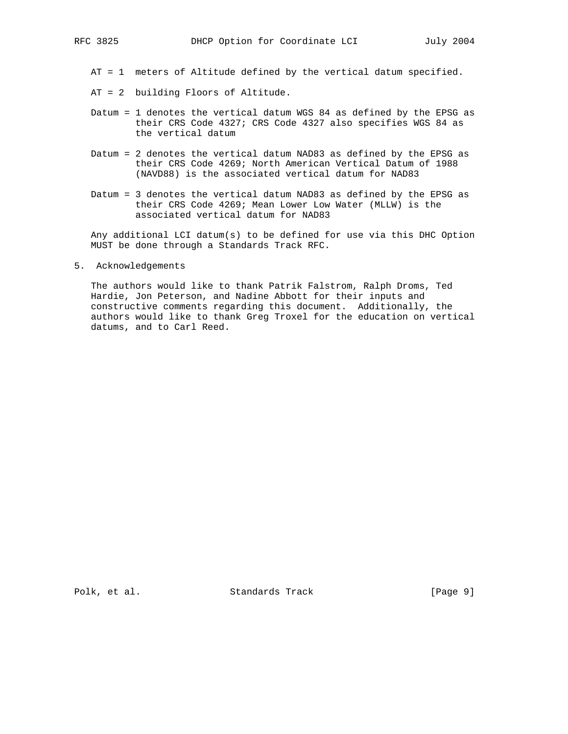AT = 1 meters of Altitude defined by the vertical datum specified.

- AT = 2 building Floors of Altitude.
- Datum = 1 denotes the vertical datum WGS 84 as defined by the EPSG as their CRS Code 4327; CRS Code 4327 also specifies WGS 84 as the vertical datum
- Datum = 2 denotes the vertical datum NAD83 as defined by the EPSG as their CRS Code 4269; North American Vertical Datum of 1988 (NAVD88) is the associated vertical datum for NAD83
- Datum = 3 denotes the vertical datum NAD83 as defined by the EPSG as their CRS Code 4269; Mean Lower Low Water (MLLW) is the associated vertical datum for NAD83

 Any additional LCI datum(s) to be defined for use via this DHC Option MUST be done through a Standards Track RFC.

5. Acknowledgements

 The authors would like to thank Patrik Falstrom, Ralph Droms, Ted Hardie, Jon Peterson, and Nadine Abbott for their inputs and constructive comments regarding this document. Additionally, the authors would like to thank Greg Troxel for the education on vertical datums, and to Carl Reed.

Polk, et al. Standards Track [Page 9]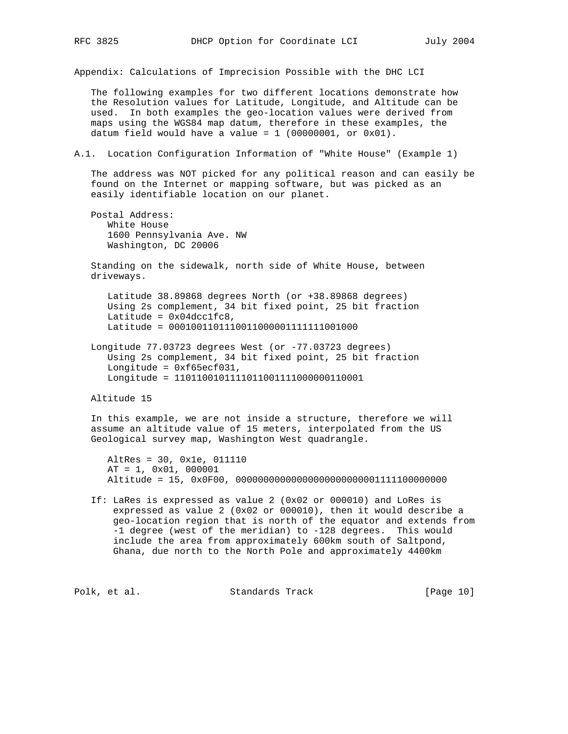Appendix: Calculations of Imprecision Possible with the DHC LCI

 The following examples for two different locations demonstrate how the Resolution values for Latitude, Longitude, and Altitude can be used. In both examples the geo-location values were derived from maps using the WGS84 map datum, therefore in these examples, the datum field would have a value =  $1$  (00000001, or 0x01).

A.1. Location Configuration Information of "White House" (Example 1)

 The address was NOT picked for any political reason and can easily be found on the Internet or mapping software, but was picked as an easily identifiable location on our planet.

 Postal Address: White House 1600 Pennsylvania Ave. NW Washington, DC 20006

 Standing on the sidewalk, north side of White House, between driveways.

 Latitude 38.89868 degrees North (or +38.89868 degrees) Using 2s complement, 34 bit fixed point, 25 bit fraction Latitude =  $0 \times 04$ dcclfc8, Latitude = 0001001101110011000001111111001000

 Longitude 77.03723 degrees West (or -77.03723 degrees) Using 2s complement, 34 bit fixed point, 25 bit fraction Longitude = 0xf65ecf031, Longitude = 1101100101111011001111000000110001

Altitude 15

 In this example, we are not inside a structure, therefore we will assume an altitude value of 15 meters, interpolated from the US Geological survey map, Washington West quadrangle.

 AltRes = 30, 0x1e, 011110 AT = 1, 0x01, 000001 Altitude = 15, 0x0F00, 00000000000000000000000001111100000000

 If: LaRes is expressed as value 2 (0x02 or 000010) and LoRes is expressed as value 2 (0x02 or 000010), then it would describe a geo-location region that is north of the equator and extends from -1 degree (west of the meridian) to -128 degrees. This would include the area from approximately 600km south of Saltpond, Ghana, due north to the North Pole and approximately 4400km

Polk, et al. Standards Track [Page 10]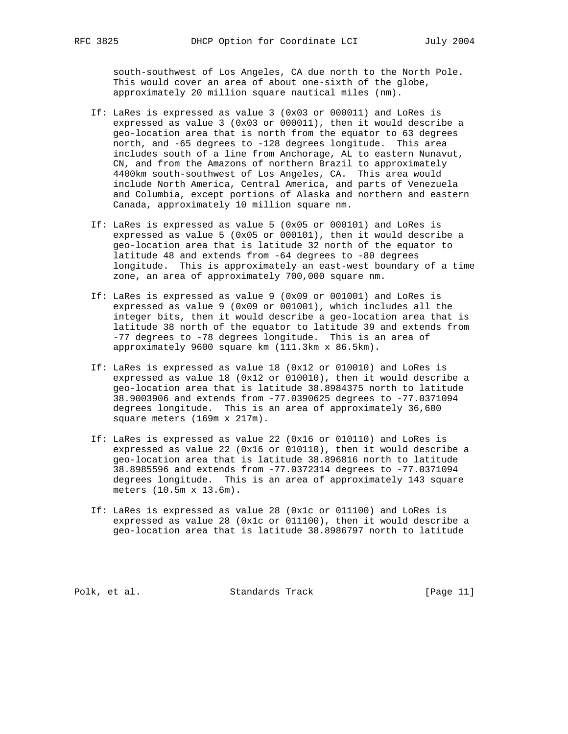south-southwest of Los Angeles, CA due north to the North Pole. This would cover an area of about one-sixth of the globe, approximately 20 million square nautical miles (nm).

- If: LaRes is expressed as value 3 (0x03 or 000011) and LoRes is expressed as value 3 (0x03 or 000011), then it would describe a geo-location area that is north from the equator to 63 degrees north, and -65 degrees to -128 degrees longitude. This area includes south of a line from Anchorage, AL to eastern Nunavut, CN, and from the Amazons of northern Brazil to approximately 4400km south-southwest of Los Angeles, CA. This area would include North America, Central America, and parts of Venezuela and Columbia, except portions of Alaska and northern and eastern Canada, approximately 10 million square nm.
- If: LaRes is expressed as value 5 (0x05 or 000101) and LoRes is expressed as value 5 (0x05 or 000101), then it would describe a geo-location area that is latitude 32 north of the equator to latitude 48 and extends from -64 degrees to -80 degrees longitude. This is approximately an east-west boundary of a time zone, an area of approximately 700,000 square nm.
- If: LaRes is expressed as value 9 (0x09 or 001001) and LoRes is expressed as value 9 (0x09 or 001001), which includes all the integer bits, then it would describe a geo-location area that is latitude 38 north of the equator to latitude 39 and extends from -77 degrees to -78 degrees longitude. This is an area of approximately 9600 square km (111.3km x 86.5km).
- If: LaRes is expressed as value 18 (0x12 or 010010) and LoRes is expressed as value 18 (0x12 or 010010), then it would describe a geo-location area that is latitude 38.8984375 north to latitude 38.9003906 and extends from -77.0390625 degrees to -77.0371094 degrees longitude. This is an area of approximately 36,600 square meters (169m x 217m).
- If: LaRes is expressed as value 22 (0x16 or 010110) and LoRes is expressed as value 22 (0x16 or 010110), then it would describe a geo-location area that is latitude 38.896816 north to latitude 38.8985596 and extends from -77.0372314 degrees to -77.0371094 degrees longitude. This is an area of approximately 143 square meters (10.5m x 13.6m).
- If: LaRes is expressed as value 28 (0x1c or 011100) and LoRes is expressed as value 28 (0x1c or 011100), then it would describe a geo-location area that is latitude 38.8986797 north to latitude

Polk, et al. Standards Track [Page 11]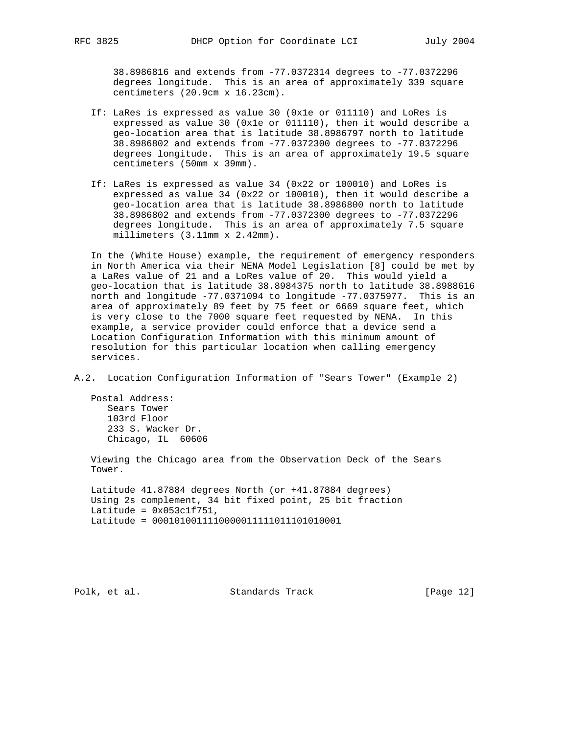38.8986816 and extends from -77.0372314 degrees to -77.0372296 degrees longitude. This is an area of approximately 339 square centimeters (20.9cm x 16.23cm).

- If: LaRes is expressed as value 30 (0x1e or 011110) and LoRes is expressed as value 30 (0x1e or 011110), then it would describe a geo-location area that is latitude 38.8986797 north to latitude 38.8986802 and extends from -77.0372300 degrees to -77.0372296 degrees longitude. This is an area of approximately 19.5 square centimeters (50mm x 39mm).
- If: LaRes is expressed as value 34 (0x22 or 100010) and LoRes is expressed as value 34 (0x22 or 100010), then it would describe a geo-location area that is latitude 38.8986800 north to latitude 38.8986802 and extends from -77.0372300 degrees to -77.0372296 degrees longitude. This is an area of approximately 7.5 square millimeters (3.11mm x 2.42mm).

 In the (White House) example, the requirement of emergency responders in North America via their NENA Model Legislation [8] could be met by a LaRes value of 21 and a LoRes value of 20. This would yield a geo-location that is latitude 38.8984375 north to latitude 38.8988616 north and longitude -77.0371094 to longitude -77.0375977. This is an area of approximately 89 feet by 75 feet or 6669 square feet, which is very close to the 7000 square feet requested by NENA. In this example, a service provider could enforce that a device send a Location Configuration Information with this minimum amount of resolution for this particular location when calling emergency services.

A.2. Location Configuration Information of "Sears Tower" (Example 2)

 Postal Address: Sears Tower 103rd Floor 233 S. Wacker Dr. Chicago, IL 60606

 Viewing the Chicago area from the Observation Deck of the Sears Tower.

 Latitude 41.87884 degrees North (or +41.87884 degrees) Using 2s complement, 34 bit fixed point, 25 bit fraction Latitude =  $0 \times 053$ c1f751, Latitude = 0001010011110000011111011101010001

Polk, et al. Standards Track [Page 12]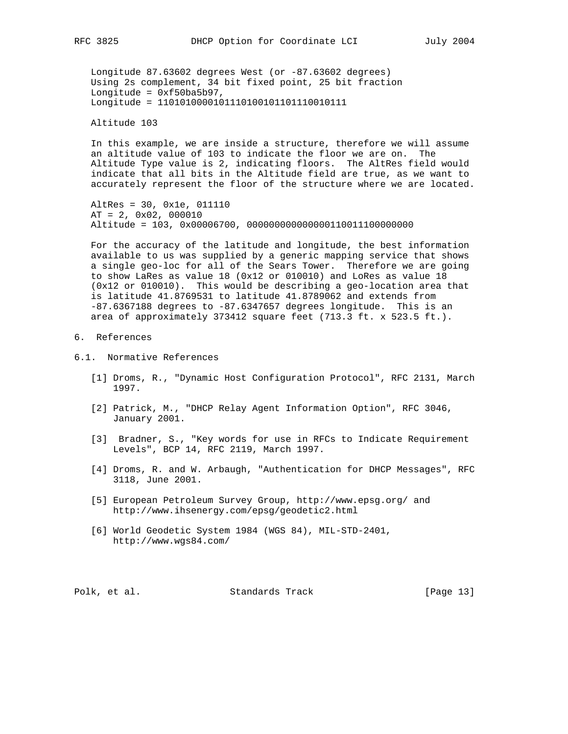Longitude 87.63602 degrees West (or -87.63602 degrees) Using 2s complement, 34 bit fixed point, 25 bit fraction Longitude =  $0x50ba5b97$ , Longitude = 1101010000101110100101101110010111

Altitude 103

 In this example, we are inside a structure, therefore we will assume an altitude value of 103 to indicate the floor we are on. The Altitude Type value is 2, indicating floors. The AltRes field would indicate that all bits in the Altitude field are true, as we want to accurately represent the floor of the structure where we are located.

 AltRes = 30, 0x1e, 011110 AT = 2, 0x02, 000010 Altitude = 103, 0x00006700, 000000000000000110011100000000

 For the accuracy of the latitude and longitude, the best information available to us was supplied by a generic mapping service that shows a single geo-loc for all of the Sears Tower. Therefore we are going to show LaRes as value 18 (0x12 or 010010) and LoRes as value 18 (0x12 or 010010). This would be describing a geo-location area that is latitude 41.8769531 to latitude 41.8789062 and extends from -87.6367188 degrees to -87.6347657 degrees longitude. This is an area of approximately 373412 square feet (713.3 ft. x 523.5 ft.).

## 6. References

- 6.1. Normative References
	- [1] Droms, R., "Dynamic Host Configuration Protocol", RFC 2131, March 1997.
	- [2] Patrick, M., "DHCP Relay Agent Information Option", RFC 3046, January 2001.
	- [3] Bradner, S., "Key words for use in RFCs to Indicate Requirement Levels", BCP 14, RFC 2119, March 1997.
	- [4] Droms, R. and W. Arbaugh, "Authentication for DHCP Messages", RFC 3118, June 2001.
	- [5] European Petroleum Survey Group, http://www.epsg.org/ and http://www.ihsenergy.com/epsg/geodetic2.html
	- [6] World Geodetic System 1984 (WGS 84), MIL-STD-2401, http://www.wgs84.com/

Polk, et al. Standards Track [Page 13]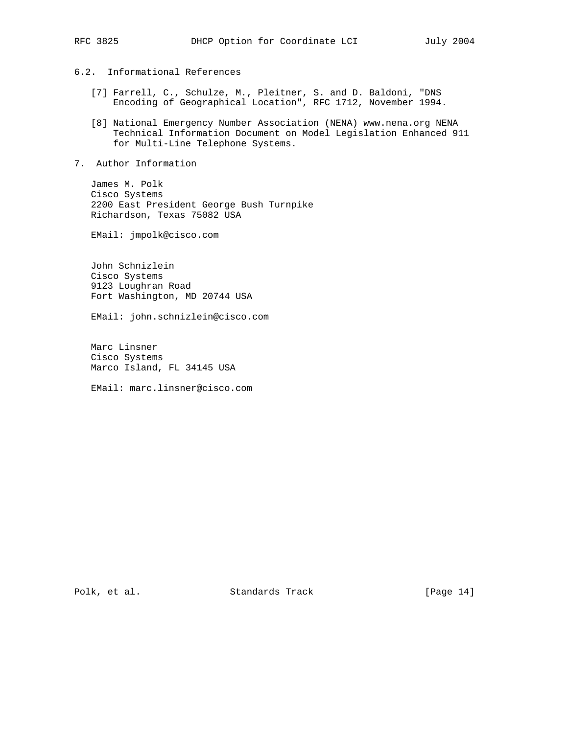- 6.2. Informational References
	- [7] Farrell, C., Schulze, M., Pleitner, S. and D. Baldoni, "DNS Encoding of Geographical Location", RFC 1712, November 1994.
	- [8] National Emergency Number Association (NENA) www.nena.org NENA Technical Information Document on Model Legislation Enhanced 911 for Multi-Line Telephone Systems.
- 7. Author Information

 James M. Polk Cisco Systems 2200 East President George Bush Turnpike Richardson, Texas 75082 USA

EMail: jmpolk@cisco.com

 John Schnizlein Cisco Systems 9123 Loughran Road Fort Washington, MD 20744 USA

EMail: john.schnizlein@cisco.com

 Marc Linsner Cisco Systems Marco Island, FL 34145 USA

EMail: marc.linsner@cisco.com

Polk, et al. Standards Track [Page 14]